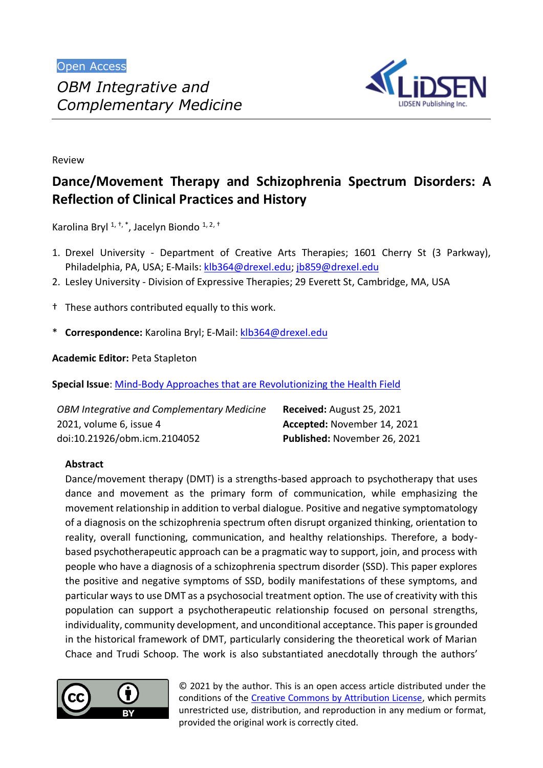

Review

# **Dance/Movement Therapy and Schizophrenia Spectrum Disorders: A Reflection of Clinical Practices and History**

Karolina Bryl <sup>1, †, \*</sup>, Jacelyn Biondo <sup>1, 2, †</sup>

- 1. Drexel University Department of Creative Arts Therapies; 1601 Cherry St (3 Parkway), Philadelphia, PA, USA; E-Mails[: klb364@drexel.edu;](mailto:klb364@drexel.edu) [jb859@drexel.edu](mailto:jb859@drexel.edu)
- 2. Lesley University Division of Expressive Therapies; 29 Everett St, Cambridge, MA, USA
- † These authors contributed equally to this work.
- \* **Correspondence:** Karolina Bryl; E-Mail[: klb364@drexel.edu](mailto:klb364@drexel.edu)

**Academic Editor:** Peta Stapleton

**Special Issue**: [Mind-Body Approaches that are Revolutionizing the Health Field](https://www.lidsen.com/journals/icm/icm-special-issues/mind-body-approaches)

| OBM Integrative and Complementary Medicine | Received: August 25, 2021    |
|--------------------------------------------|------------------------------|
| 2021, volume 6, issue 4                    | Accepted: November 14, 2021  |
| doi:10.21926/obm.icm.2104052               | Published: November 26, 2021 |

# **Abstract**

Dance/movement therapy (DMT) is a strengths-based approach to psychotherapy that uses dance and movement as the primary form of communication, while emphasizing the movement relationship in addition to verbal dialogue. Positive and negative symptomatology of a diagnosis on the schizophrenia spectrum often disrupt organized thinking, orientation to reality, overall functioning, communication, and healthy relationships. Therefore, a bodybased psychotherapeutic approach can be a pragmatic way to support, join, and process with people who have a diagnosis of a schizophrenia spectrum disorder (SSD). This paper explores the positive and negative symptoms of SSD, bodily manifestations of these symptoms, and particular ways to use DMT as a psychosocial treatment option. The use of creativity with this population can support a psychotherapeutic relationship focused on personal strengths, individuality, community development, and unconditional acceptance. This paper is grounded in the historical framework of DMT, particularly considering the theoretical work of Marian Chace and Trudi Schoop. The work is also substantiated anecdotally through the authors'



© 2021 by the author. This is an open access article distributed under the conditions of the [Creative Commons by Attribution License,](http://creativecommons.org/licenses/by/4.0/) which permits unrestricted use, distribution, and reproduction in any medium or format, provided the original work is correctly cited.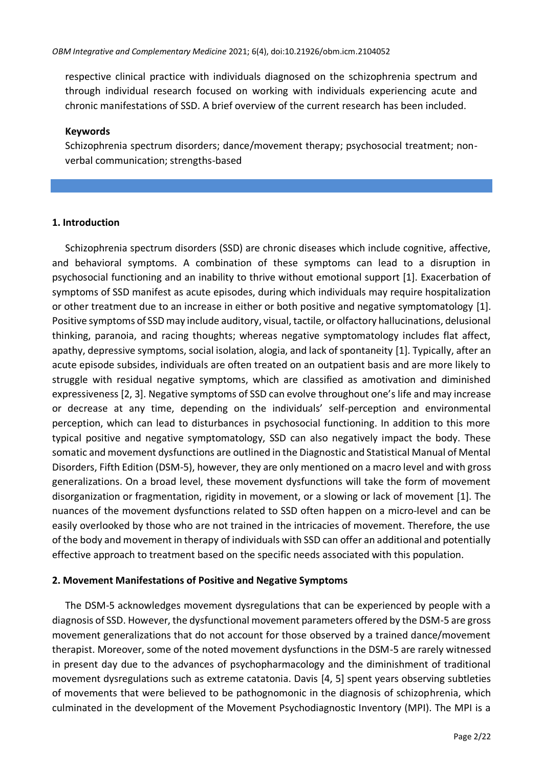respective clinical practice with individuals diagnosed on the schizophrenia spectrum and through individual research focused on working with individuals experiencing acute and chronic manifestations of SSD. A brief overview of the current research has been included.

## **Keywords**

Schizophrenia spectrum disorders; dance/movement therapy; psychosocial treatment; nonverbal communication; strengths-based

# **1. Introduction**

Schizophrenia spectrum disorders (SSD) are chronic diseases which include cognitive, affective, and behavioral symptoms. A combination of these symptoms can lead to a disruption in psychosocial functioning and an inability to thrive without emotional support [1]. Exacerbation of symptoms of SSD manifest as acute episodes, during which individuals may require hospitalization or other treatment due to an increase in either or both positive and negative symptomatology [1]. Positive symptoms of SSD may include auditory, visual, tactile, or olfactory hallucinations, delusional thinking, paranoia, and racing thoughts; whereas negative symptomatology includes flat affect, apathy, depressive symptoms, social isolation, alogia, and lack of spontaneity [1]. Typically, after an acute episode subsides, individuals are often treated on an outpatient basis and are more likely to struggle with residual negative symptoms, which are classified as amotivation and diminished expressiveness [2, 3]. Negative symptoms of SSD can evolve throughout one's life and may increase or decrease at any time, depending on the individuals' self-perception and environmental perception, which can lead to disturbances in psychosocial functioning. In addition to this more typical positive and negative symptomatology, SSD can also negatively impact the body. These somatic and movement dysfunctions are outlined in the Diagnostic and Statistical Manual of Mental Disorders, Fifth Edition (DSM-5), however, they are only mentioned on a macro level and with gross generalizations. On a broad level, these movement dysfunctions will take the form of movement disorganization or fragmentation, rigidity in movement, or a slowing or lack of movement [1]. The nuances of the movement dysfunctions related to SSD often happen on a micro-level and can be easily overlooked by those who are not trained in the intricacies of movement. Therefore, the use of the body and movement in therapy of individuals with SSD can offer an additional and potentially effective approach to treatment based on the specific needs associated with this population.

# **2. Movement Manifestations of Positive and Negative Symptoms**

The DSM-5 acknowledges movement dysregulations that can be experienced by people with a diagnosis of SSD. However, the dysfunctional movement parameters offered by the DSM-5 are gross movement generalizations that do not account for those observed by a trained dance/movement therapist. Moreover, some of the noted movement dysfunctions in the DSM-5 are rarely witnessed in present day due to the advances of psychopharmacology and the diminishment of traditional movement dysregulations such as extreme catatonia. Davis [4, 5] spent years observing subtleties of movements that were believed to be pathognomonic in the diagnosis of schizophrenia, which culminated in the development of the Movement Psychodiagnostic Inventory (MPI). The MPI is a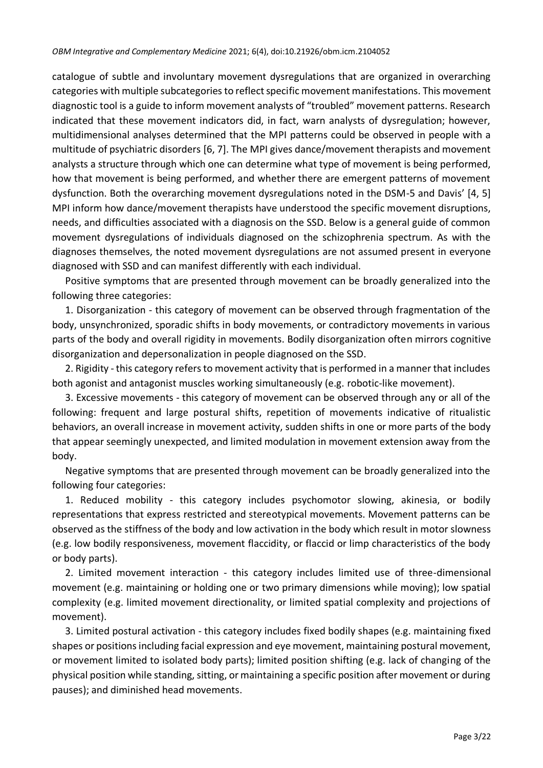catalogue of subtle and involuntary movement dysregulations that are organized in overarching categories with multiple subcategories to reflect specific movement manifestations. This movement diagnostic tool is a guide to inform movement analysts of "troubled" movement patterns. Research indicated that these movement indicators did, in fact, warn analysts of dysregulation; however, multidimensional analyses determined that the MPI patterns could be observed in people with a multitude of psychiatric disorders [6, 7]. The MPI gives dance/movement therapists and movement analysts a structure through which one can determine what type of movement is being performed, how that movement is being performed, and whether there are emergent patterns of movement dysfunction. Both the overarching movement dysregulations noted in the DSM-5 and Davis' [4, 5] MPI inform how dance/movement therapists have understood the specific movement disruptions, needs, and difficulties associated with a diagnosis on the SSD. Below is a general guide of common movement dysregulations of individuals diagnosed on the schizophrenia spectrum. As with the diagnoses themselves, the noted movement dysregulations are not assumed present in everyone diagnosed with SSD and can manifest differently with each individual.

Positive symptoms that are presented through movement can be broadly generalized into the following three categories:

1. Disorganization - this category of movement can be observed through fragmentation of the body, unsynchronized, sporadic shifts in body movements, or contradictory movements in various parts of the body and overall rigidity in movements. Bodily disorganization often mirrors cognitive disorganization and depersonalization in people diagnosed on the SSD.

2. Rigidity - this category refers to movement activity that is performed in a manner that includes both agonist and antagonist muscles working simultaneously (e.g. robotic-like movement).

3. Excessive movements - this category of movement can be observed through any or all of the following: frequent and large postural shifts, repetition of movements indicative of ritualistic behaviors, an overall increase in movement activity, sudden shifts in one or more parts of the body that appear seemingly unexpected, and limited modulation in movement extension away from the body.

Negative symptoms that are presented through movement can be broadly generalized into the following four categories:

1. Reduced mobility - this category includes psychomotor slowing, akinesia, or bodily representations that express restricted and stereotypical movements. Movement patterns can be observed as the stiffness of the body and low activation in the body which result in motor slowness (e.g. low bodily responsiveness, movement flaccidity, or flaccid or limp characteristics of the body or body parts).

2. Limited movement interaction - this category includes limited use of three-dimensional movement (e.g. maintaining or holding one or two primary dimensions while moving); low spatial complexity (e.g. limited movement directionality, or limited spatial complexity and projections of movement).

3. Limited postural activation - this category includes fixed bodily shapes (e.g. maintaining fixed shapes or positions including facial expression and eye movement, maintaining postural movement, or movement limited to isolated body parts); limited position shifting (e.g. lack of changing of the physical position while standing, sitting, or maintaining a specific position after movement or during pauses); and diminished head movements.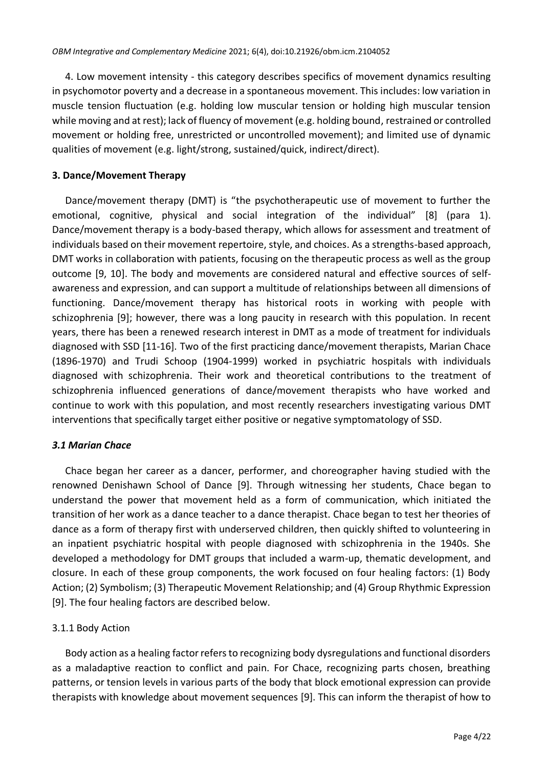4. Low movement intensity - this category describes specifics of movement dynamics resulting in psychomotor poverty and a decrease in a spontaneous movement. This includes: low variation in muscle tension fluctuation (e.g. holding low muscular tension or holding high muscular tension while moving and at rest); lack of fluency of movement (e.g. holding bound, restrained or controlled movement or holding free, unrestricted or uncontrolled movement); and limited use of dynamic qualities of movement (e.g. light/strong, sustained/quick, indirect/direct).

# **3. Dance/Movement Therapy**

Dance/movement therapy (DMT) is "the psychotherapeutic use of movement to further the emotional, cognitive, physical and social integration of the individual" [8] (para 1). Dance/movement therapy is a body-based therapy, which allows for assessment and treatment of individuals based on their movement repertoire, style, and choices. As a strengths-based approach, DMT works in collaboration with patients, focusing on the therapeutic process as well as the group outcome [9, 10]. The body and movements are considered natural and effective sources of selfawareness and expression, and can support a multitude of relationships between all dimensions of functioning. Dance/movement therapy has historical roots in working with people with schizophrenia [9]; however, there was a long paucity in research with this population. In recent years, there has been a renewed research interest in DMT as a mode of treatment for individuals diagnosed with SSD [11-16]. Two of the first practicing dance/movement therapists, Marian Chace (1896-1970) and Trudi Schoop (1904-1999) worked in psychiatric hospitals with individuals diagnosed with schizophrenia. Their work and theoretical contributions to the treatment of schizophrenia influenced generations of dance/movement therapists who have worked and continue to work with this population, and most recently researchers investigating various DMT interventions that specifically target either positive or negative symptomatology of SSD.

# *3.1 Marian Chace*

Chace began her career as a dancer, performer, and choreographer having studied with the renowned Denishawn School of Dance [9]. Through witnessing her students, Chace began to understand the power that movement held as a form of communication, which initiated the transition of her work as a dance teacher to a dance therapist. Chace began to test her theories of dance as a form of therapy first with underserved children, then quickly shifted to volunteering in an inpatient psychiatric hospital with people diagnosed with schizophrenia in the 1940s. She developed a methodology for DMT groups that included a warm-up, thematic development, and closure. In each of these group components, the work focused on four healing factors: (1) Body Action; (2) Symbolism; (3) Therapeutic Movement Relationship; and (4) Group Rhythmic Expression [9]. The four healing factors are described below.

# 3.1.1 Body Action

Body action as a healing factor refers to recognizing body dysregulations and functional disorders as a maladaptive reaction to conflict and pain. For Chace, recognizing parts chosen, breathing patterns, or tension levels in various parts of the body that block emotional expression can provide therapists with knowledge about movement sequences [9]. This can inform the therapist of how to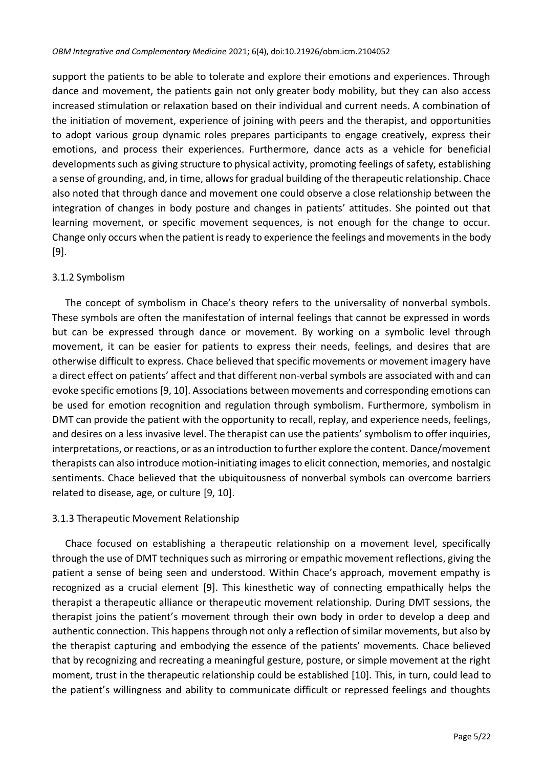support the patients to be able to tolerate and explore their emotions and experiences. Through dance and movement, the patients gain not only greater body mobility, but they can also access increased stimulation or relaxation based on their individual and current needs. A combination of the initiation of movement, experience of joining with peers and the therapist, and opportunities to adopt various group dynamic roles prepares participants to engage creatively, express their emotions, and process their experiences. Furthermore, dance acts as a vehicle for beneficial developments such as giving structure to physical activity, promoting feelings of safety, establishing a sense of grounding, and, in time, allows for gradual building of the therapeutic relationship. Chace also noted that through dance and movement one could observe a close relationship between the integration of changes in body posture and changes in patients' attitudes. She pointed out that learning movement, or specific movement sequences, is not enough for the change to occur. Change only occurs when the patient is ready to experience the feelings and movements in the body [9].

## 3.1.2 Symbolism

The concept of symbolism in Chace's theory refers to the universality of nonverbal symbols. These symbols are often the manifestation of internal feelings that cannot be expressed in words but can be expressed through dance or movement. By working on a symbolic level through movement, it can be easier for patients to express their needs, feelings, and desires that are otherwise difficult to express. Chace believed that specific movements or movement imagery have a direct effect on patients' affect and that different non-verbal symbols are associated with and can evoke specific emotions [9, 10]. Associations between movements and corresponding emotions can be used for emotion recognition and regulation through symbolism. Furthermore, symbolism in DMT can provide the patient with the opportunity to recall, replay, and experience needs, feelings, and desires on a less invasive level. The therapist can use the patients' symbolism to offer inquiries, interpretations, or reactions, or as an introduction to further explore the content. Dance/movement therapists can also introduce motion-initiating images to elicit connection, memories, and nostalgic sentiments. Chace believed that the ubiquitousness of nonverbal symbols can overcome barriers related to disease, age, or culture [9, 10].

# 3.1.3 Therapeutic Movement Relationship

Chace focused on establishing a therapeutic relationship on a movement level, specifically through the use of DMT techniques such as mirroring or empathic movement reflections, giving the patient a sense of being seen and understood. Within Chace's approach, movement empathy is recognized as a crucial element [9]. This kinesthetic way of connecting empathically helps the therapist a therapeutic alliance or therapeutic movement relationship. During DMT sessions, the therapist joins the patient's movement through their own body in order to develop a deep and authentic connection. This happens through not only a reflection of similar movements, but also by the therapist capturing and embodying the essence of the patients' movements. Chace believed that by recognizing and recreating a meaningful gesture, posture, or simple movement at the right moment, trust in the therapeutic relationship could be established [10]. This, in turn, could lead to the patient's willingness and ability to communicate difficult or repressed feelings and thoughts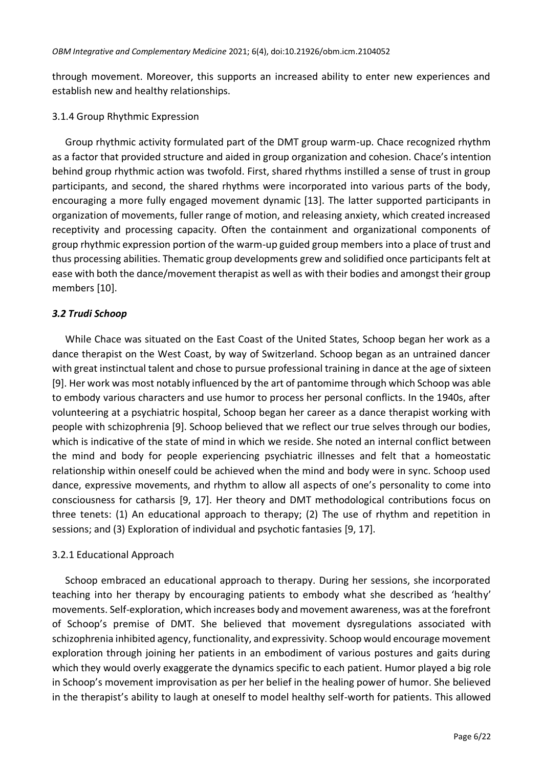through movement. Moreover, this supports an increased ability to enter new experiences and establish new and healthy relationships.

## 3.1.4 Group Rhythmic Expression

Group rhythmic activity formulated part of the DMT group warm-up. Chace recognized rhythm as a factor that provided structure and aided in group organization and cohesion. Chace's intention behind group rhythmic action was twofold. First, shared rhythms instilled a sense of trust in group participants, and second, the shared rhythms were incorporated into various parts of the body, encouraging a more fully engaged movement dynamic [13]. The latter supported participants in organization of movements, fuller range of motion, and releasing anxiety, which created increased receptivity and processing capacity. Often the containment and organizational components of group rhythmic expression portion of the warm-up guided group members into a place of trust and thus processing abilities. Thematic group developments grew and solidified once participants felt at ease with both the dance/movement therapist as well as with their bodies and amongst their group members [10].

# *3.2 Trudi Schoop*

While Chace was situated on the East Coast of the United States, Schoop began her work as a dance therapist on the West Coast, by way of Switzerland. Schoop began as an untrained dancer with great instinctual talent and chose to pursue professional training in dance at the age of sixteen [9]. Her work was most notably influenced by the art of pantomime through which Schoop was able to embody various characters and use humor to process her personal conflicts. In the 1940s, after volunteering at a psychiatric hospital, Schoop began her career as a dance therapist working with people with schizophrenia [9]. Schoop believed that we reflect our true selves through our bodies, which is indicative of the state of mind in which we reside. She noted an internal conflict between the mind and body for people experiencing psychiatric illnesses and felt that a homeostatic relationship within oneself could be achieved when the mind and body were in sync. Schoop used dance, expressive movements, and rhythm to allow all aspects of one's personality to come into consciousness for catharsis [9, 17]. Her theory and DMT methodological contributions focus on three tenets: (1) An educational approach to therapy; (2) The use of rhythm and repetition in sessions; and (3) Exploration of individual and psychotic fantasies [9, 17].

# 3.2.1 Educational Approach

Schoop embraced an educational approach to therapy. During her sessions, she incorporated teaching into her therapy by encouraging patients to embody what she described as 'healthy' movements. Self-exploration, which increases body and movement awareness, was at the forefront of Schoop's premise of DMT. She believed that movement dysregulations associated with schizophrenia inhibited agency, functionality, and expressivity. Schoop would encourage movement exploration through joining her patients in an embodiment of various postures and gaits during which they would overly exaggerate the dynamics specific to each patient. Humor played a big role in Schoop's movement improvisation as per her belief in the healing power of humor. She believed in the therapist's ability to laugh at oneself to model healthy self-worth for patients. This allowed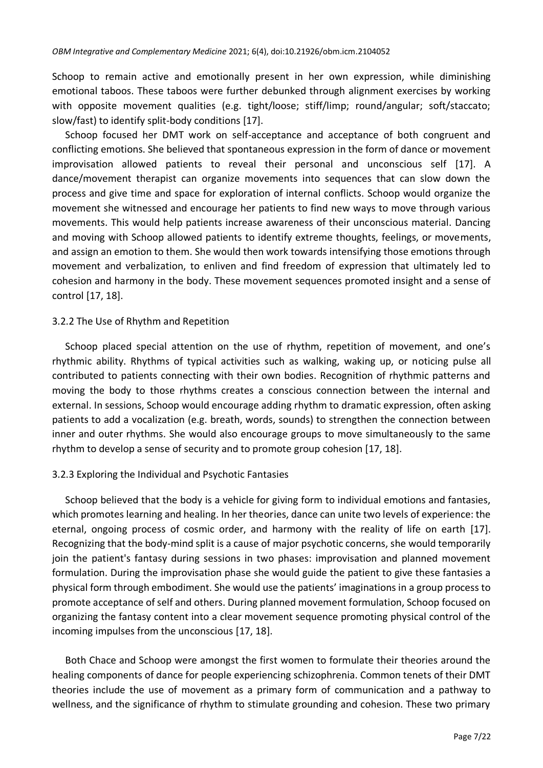Schoop to remain active and emotionally present in her own expression, while diminishing emotional taboos. These taboos were further debunked through alignment exercises by working with opposite movement qualities (e.g. tight/loose; stiff/limp; round/angular; soft/staccato; slow/fast) to identify split-body conditions [17].

Schoop focused her DMT work on self-acceptance and acceptance of both congruent and conflicting emotions. She believed that spontaneous expression in the form of dance or movement improvisation allowed patients to reveal their personal and unconscious self [17]. A dance/movement therapist can organize movements into sequences that can slow down the process and give time and space for exploration of internal conflicts. Schoop would organize the movement she witnessed and encourage her patients to find new ways to move through various movements. This would help patients increase awareness of their unconscious material. Dancing and moving with Schoop allowed patients to identify extreme thoughts, feelings, or movements, and assign an emotion to them. She would then work towards intensifying those emotions through movement and verbalization, to enliven and find freedom of expression that ultimately led to cohesion and harmony in the body. These movement sequences promoted insight and a sense of control [17, 18].

#### 3.2.2 The Use of Rhythm and Repetition

Schoop placed special attention on the use of rhythm, repetition of movement, and one's rhythmic ability. Rhythms of typical activities such as walking, waking up, or noticing pulse all contributed to patients connecting with their own bodies. Recognition of rhythmic patterns and moving the body to those rhythms creates a conscious connection between the internal and external. In sessions, Schoop would encourage adding rhythm to dramatic expression, often asking patients to add a vocalization (e.g. breath, words, sounds) to strengthen the connection between inner and outer rhythms. She would also encourage groups to move simultaneously to the same rhythm to develop a sense of security and to promote group cohesion [17, 18].

## 3.2.3 Exploring the Individual and Psychotic Fantasies

Schoop believed that the body is a vehicle for giving form to individual emotions and fantasies, which promotes learning and healing. In her theories, dance can unite two levels of experience: the eternal, ongoing process of cosmic order, and harmony with the reality of life on earth [17]. Recognizing that the body-mind split is a cause of major psychotic concerns, she would temporarily join the patient's fantasy during sessions in two phases: improvisation and planned movement formulation. During the improvisation phase she would guide the patient to give these fantasies a physical form through embodiment. She would use the patients' imaginations in a group process to promote acceptance of self and others. During planned movement formulation, Schoop focused on organizing the fantasy content into a clear movement sequence promoting physical control of the incoming impulses from the unconscious [17, 18].

Both Chace and Schoop were amongst the first women to formulate their theories around the healing components of dance for people experiencing schizophrenia. Common tenets of their DMT theories include the use of movement as a primary form of communication and a pathway to wellness, and the significance of rhythm to stimulate grounding and cohesion. These two primary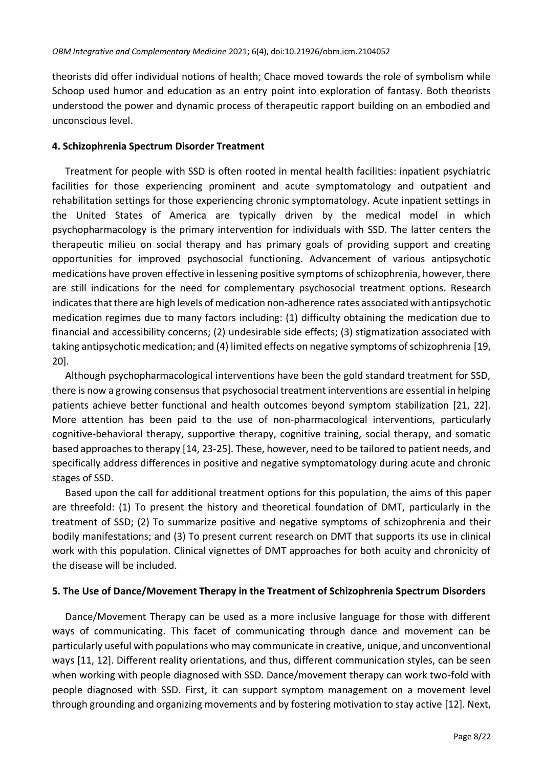theorists did offer individual notions of health; Chace moved towards the role of symbolism while Schoop used humor and education as an entry point into exploration of fantasy. Both theorists understood the power and dynamic process of therapeutic rapport building on an embodied and unconscious level.

## **4. Schizophrenia Spectrum Disorder Treatment**

Treatment for people with SSD is often rooted in mental health facilities: inpatient psychiatric facilities for those experiencing prominent and acute symptomatology and outpatient and rehabilitation settings for those experiencing chronic symptomatology. Acute inpatient settings in the United States of America are typically driven by the medical model in which psychopharmacology is the primary intervention for individuals with SSD. The latter centers the therapeutic milieu on social therapy and has primary goals of providing support and creating opportunities for improved psychosocial functioning. Advancement of various antipsychotic medications have proven effective in lessening positive symptoms of schizophrenia, however, there are still indications for the need for complementary psychosocial treatment options. Research indicates that there are high levels of medication non-adherence rates associated with antipsychotic medication regimes due to many factors including: (1) difficulty obtaining the medication due to financial and accessibility concerns; (2) undesirable side effects; (3) stigmatization associated with taking antipsychotic medication; and (4) limited effects on negative symptoms of schizophrenia [19, 20].

Although psychopharmacological interventions have been the gold standard treatment for SSD, there is now a growing consensus that psychosocial treatment interventions are essential in helping patients achieve better functional and health outcomes beyond symptom stabilization [21, 22]. More attention has been paid to the use of non-pharmacological interventions, particularly cognitive-behavioral therapy, supportive therapy, cognitive training, social therapy, and somatic based approaches to therapy [14, 23-25]. These, however, need to be tailored to patient needs, and specifically address differences in positive and negative symptomatology during acute and chronic stages of SSD.

Based upon the call for additional treatment options for this population, the aims of this paper are threefold: (1) To present the history and theoretical foundation of DMT, particularly in the treatment of SSD; (2) To summarize positive and negative symptoms of schizophrenia and their bodily manifestations; and (3) To present current research on DMT that supports its use in clinical work with this population. Clinical vignettes of DMT approaches for both acuity and chronicity of the disease will be included.

# **5. The Use of Dance/Movement Therapy in the Treatment of Schizophrenia Spectrum Disorders**

Dance/Movement Therapy can be used as a more inclusive language for those with different ways of communicating. This facet of communicating through dance and movement can be particularly useful with populations who may communicate in creative, unique, and unconventional ways [11, 12]. Different reality orientations, and thus, different communication styles, can be seen when working with people diagnosed with SSD. Dance/movement therapy can work two-fold with people diagnosed with SSD. First, it can support symptom management on a movement level through grounding and organizing movements and by fostering motivation to stay active [12]. Next,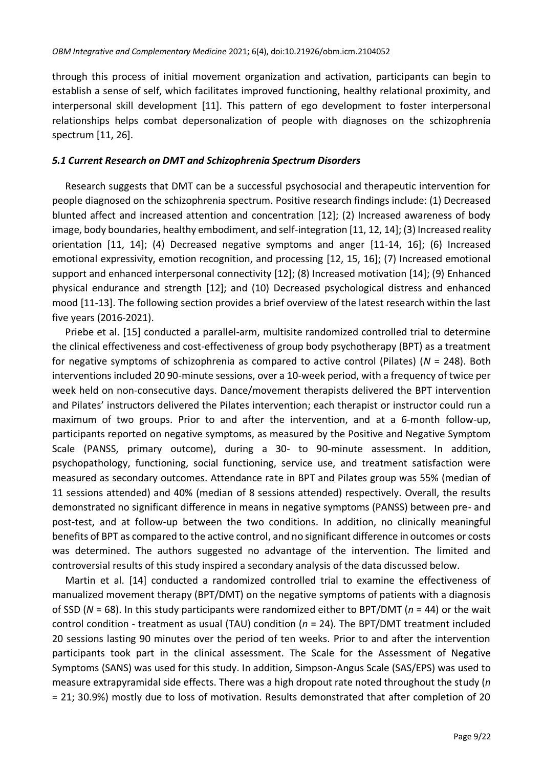through this process of initial movement organization and activation, participants can begin to establish a sense of self, which facilitates improved functioning, healthy relational proximity, and interpersonal skill development [11]. This pattern of ego development to foster interpersonal relationships helps combat depersonalization of people with diagnoses on the schizophrenia spectrum [11, 26].

#### *5.1 Current Research on DMT and Schizophrenia Spectrum Disorders*

Research suggests that DMT can be a successful psychosocial and therapeutic intervention for people diagnosed on the schizophrenia spectrum. Positive research findings include: (1) Decreased blunted affect and increased attention and concentration [12]; (2) Increased awareness of body image, body boundaries, healthy embodiment, and self-integration [11, 12, 14]; (3) Increased reality orientation [11, 14]; (4) Decreased negative symptoms and anger [11-14, 16]; (6) Increased emotional expressivity, emotion recognition, and processing [12, 15, 16]; (7) Increased emotional support and enhanced interpersonal connectivity [12]; (8) Increased motivation [14]; (9) Enhanced physical endurance and strength [12]; and (10) Decreased psychological distress and enhanced mood [11-13]. The following section provides a brief overview of the latest research within the last five years (2016-2021).

Priebe et al. [15] conducted a parallel-arm, multisite randomized controlled trial to determine the clinical effectiveness and cost-effectiveness of group body psychotherapy (BPT) as a treatment for negative symptoms of schizophrenia as compared to active control (Pilates) (*N* = 248). Both interventions included 20 90-minute sessions, over a 10-week period, with a frequency of twice per week held on non-consecutive days. Dance/movement therapists delivered the BPT intervention and Pilates' instructors delivered the Pilates intervention; each therapist or instructor could run a maximum of two groups. Prior to and after the intervention, and at a 6-month follow-up, participants reported on negative symptoms, as measured by the Positive and Negative Symptom Scale (PANSS, primary outcome), during a 30- to 90-minute assessment. In addition, psychopathology, functioning, social functioning, service use, and treatment satisfaction were measured as secondary outcomes. Attendance rate in BPT and Pilates group was 55% (median of 11 sessions attended) and 40% (median of 8 sessions attended) respectively. Overall, the results demonstrated no significant difference in means in negative symptoms (PANSS) between pre- and post-test, and at follow-up between the two conditions. In addition, no clinically meaningful benefits of BPT as compared to the active control, and no significant difference in outcomes or costs was determined. The authors suggested no advantage of the intervention. The limited and controversial results of this study inspired a secondary analysis of the data discussed below.

Martin et al. [14] conducted a randomized controlled trial to examine the effectiveness of manualized movement therapy (BPT/DMT) on the negative symptoms of patients with a diagnosis of SSD (*N* = 68). In this study participants were randomized either to BPT/DMT (*n* = 44) or the wait control condition - treatment as usual (TAU) condition (*n* = 24). The BPT/DMT treatment included 20 sessions lasting 90 minutes over the period of ten weeks. Prior to and after the intervention participants took part in the clinical assessment. The Scale for the Assessment of Negative Symptoms (SANS) was used for this study. In addition, Simpson-Angus Scale (SAS/EPS) was used to measure extrapyramidal side effects. There was a high dropout rate noted throughout the study (*n* = 21; 30.9%) mostly due to loss of motivation. Results demonstrated that after completion of 20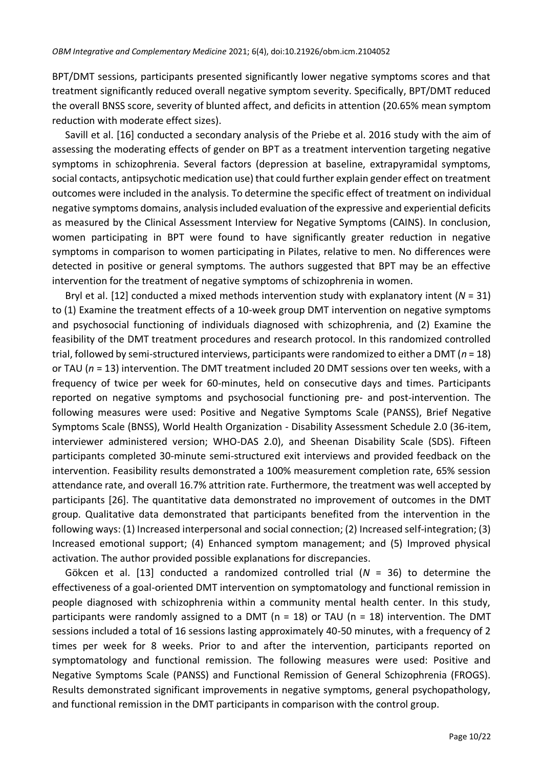BPT/DMT sessions, participants presented significantly lower negative symptoms scores and that treatment significantly reduced overall negative symptom severity. Specifically, BPT/DMT reduced the overall BNSS score, severity of blunted affect, and deficits in attention (20.65% mean symptom reduction with moderate effect sizes).

Savill et al. [16] conducted a secondary analysis of the Priebe et al. 2016 study with the aim of assessing the moderating effects of gender on BPT as a treatment intervention targeting negative symptoms in schizophrenia. Several factors (depression at baseline, extrapyramidal symptoms, social contacts, antipsychotic medication use) that could further explain gender effect on treatment outcomes were included in the analysis. To determine the specific effect of treatment on individual negative symptoms domains, analysis included evaluation of the expressive and experiential deficits as measured by the Clinical Assessment Interview for Negative Symptoms (CAINS). In conclusion, women participating in BPT were found to have significantly greater reduction in negative symptoms in comparison to women participating in Pilates, relative to men. No differences were detected in positive or general symptoms. The authors suggested that BPT may be an effective intervention for the treatment of negative symptoms of schizophrenia in women.

Bryl et al. [12] conducted a mixed methods intervention study with explanatory intent (*N* = 31) to (1) Examine the treatment effects of a 10-week group DMT intervention on negative symptoms and psychosocial functioning of individuals diagnosed with schizophrenia, and (2) Examine the feasibility of the DMT treatment procedures and research protocol. In this randomized controlled trial, followed by semi-structured interviews, participants were randomized to either a DMT (*n* = 18) or TAU (*n* = 13) intervention. The DMT treatment included 20 DMT sessions over ten weeks, with a frequency of twice per week for 60-minutes, held on consecutive days and times. Participants reported on negative symptoms and psychosocial functioning pre- and post-intervention. The following measures were used: Positive and Negative Symptoms Scale (PANSS), Brief Negative Symptoms Scale (BNSS), World Health Organization - Disability Assessment Schedule 2.0 (36-item, interviewer administered version; WHO-DAS 2.0), and Sheenan Disability Scale (SDS). Fifteen participants completed 30-minute semi-structured exit interviews and provided feedback on the intervention. Feasibility results demonstrated a 100% measurement completion rate, 65% session attendance rate, and overall 16.7% attrition rate. Furthermore, the treatment was well accepted by participants [26]. The quantitative data demonstrated no improvement of outcomes in the DMT group. Qualitative data demonstrated that participants benefited from the intervention in the following ways: (1) Increased interpersonal and social connection; (2) Increased self-integration; (3) Increased emotional support; (4) Enhanced symptom management; and (5) Improved physical activation. The author provided possible explanations for discrepancies.

Gökcen et al. [13] conducted a randomized controlled trial (*N* = 36) to determine the effectiveness of a goal-oriented DMT intervention on symptomatology and functional remission in people diagnosed with schizophrenia within a community mental health center. In this study, participants were randomly assigned to a DMT ( $n = 18$ ) or TAU ( $n = 18$ ) intervention. The DMT sessions included a total of 16 sessions lasting approximately 40-50 minutes, with a frequency of 2 times per week for 8 weeks. Prior to and after the intervention, participants reported on symptomatology and functional remission. The following measures were used: Positive and Negative Symptoms Scale (PANSS) and Functional Remission of General Schizophrenia (FROGS). Results demonstrated significant improvements in negative symptoms, general psychopathology, and functional remission in the DMT participants in comparison with the control group.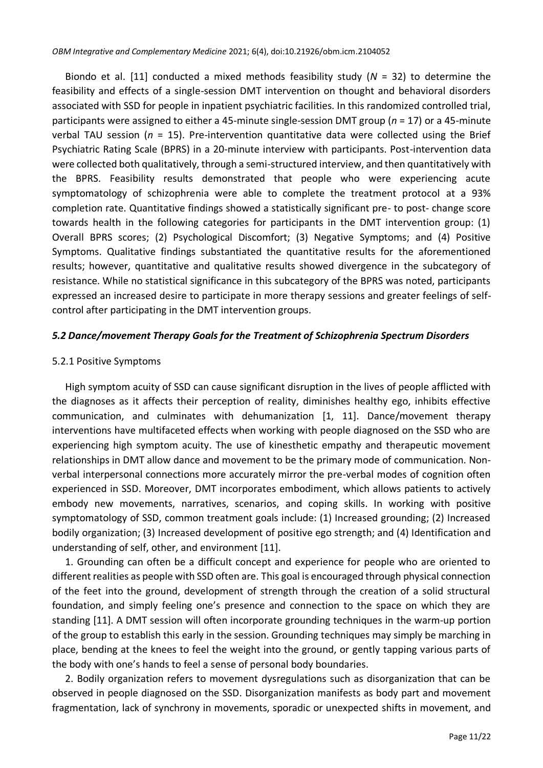Biondo et al. [11] conducted a mixed methods feasibility study (*N* = 32) to determine the feasibility and effects of a single-session DMT intervention on thought and behavioral disorders associated with SSD for people in inpatient psychiatric facilities. In this randomized controlled trial, participants were assigned to either a 45-minute single-session DMT group (*n* = 17) or a 45-minute verbal TAU session (*n* = 15). Pre-intervention quantitative data were collected using the Brief Psychiatric Rating Scale (BPRS) in a 20-minute interview with participants. Post-intervention data were collected both qualitatively, through a semi-structured interview, and then quantitatively with the BPRS. Feasibility results demonstrated that people who were experiencing acute symptomatology of schizophrenia were able to complete the treatment protocol at a 93% completion rate. Quantitative findings showed a statistically significant pre- to post- change score towards health in the following categories for participants in the DMT intervention group: (1) Overall BPRS scores; (2) Psychological Discomfort; (3) Negative Symptoms; and (4) Positive Symptoms. Qualitative findings substantiated the quantitative results for the aforementioned results; however, quantitative and qualitative results showed divergence in the subcategory of resistance. While no statistical significance in this subcategory of the BPRS was noted, participants expressed an increased desire to participate in more therapy sessions and greater feelings of selfcontrol after participating in the DMT intervention groups.

#### *5.2 Dance/movement Therapy Goals for the Treatment of Schizophrenia Spectrum Disorders*

#### 5.2.1 Positive Symptoms

High symptom acuity of SSD can cause significant disruption in the lives of people afflicted with the diagnoses as it affects their perception of reality, diminishes healthy ego, inhibits effective communication, and culminates with dehumanization [1, 11]. Dance/movement therapy interventions have multifaceted effects when working with people diagnosed on the SSD who are experiencing high symptom acuity. The use of kinesthetic empathy and therapeutic movement relationships in DMT allow dance and movement to be the primary mode of communication. Nonverbal interpersonal connections more accurately mirror the pre-verbal modes of cognition often experienced in SSD. Moreover, DMT incorporates embodiment, which allows patients to actively embody new movements, narratives, scenarios, and coping skills. In working with positive symptomatology of SSD, common treatment goals include: (1) Increased grounding; (2) Increased bodily organization; (3) Increased development of positive ego strength; and (4) Identification and understanding of self, other, and environment [11].

1. Grounding can often be a difficult concept and experience for people who are oriented to different realities as people with SSD often are. This goal is encouraged through physical connection of the feet into the ground, development of strength through the creation of a solid structural foundation, and simply feeling one's presence and connection to the space on which they are standing [11]. A DMT session will often incorporate grounding techniques in the warm-up portion of the group to establish this early in the session. Grounding techniques may simply be marching in place, bending at the knees to feel the weight into the ground, or gently tapping various parts of the body with one's hands to feel a sense of personal body boundaries.

2. Bodily organization refers to movement dysregulations such as disorganization that can be observed in people diagnosed on the SSD. Disorganization manifests as body part and movement fragmentation, lack of synchrony in movements, sporadic or unexpected shifts in movement, and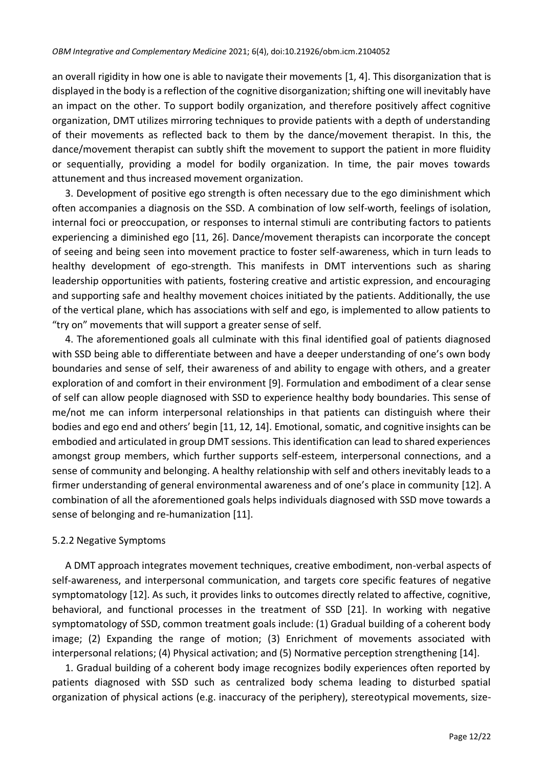an overall rigidity in how one is able to navigate their movements [1, 4]. This disorganization that is displayed in the body is a reflection of the cognitive disorganization; shifting one will inevitably have an impact on the other. To support bodily organization, and therefore positively affect cognitive organization, DMT utilizes mirroring techniques to provide patients with a depth of understanding of their movements as reflected back to them by the dance/movement therapist. In this, the dance/movement therapist can subtly shift the movement to support the patient in more fluidity or sequentially, providing a model for bodily organization. In time, the pair moves towards attunement and thus increased movement organization.

3. Development of positive ego strength is often necessary due to the ego diminishment which often accompanies a diagnosis on the SSD. A combination of low self-worth, feelings of isolation, internal foci or preoccupation, or responses to internal stimuli are contributing factors to patients experiencing a diminished ego [11, 26]. Dance/movement therapists can incorporate the concept of seeing and being seen into movement practice to foster self-awareness, which in turn leads to healthy development of ego-strength. This manifests in DMT interventions such as sharing leadership opportunities with patients, fostering creative and artistic expression, and encouraging and supporting safe and healthy movement choices initiated by the patients. Additionally, the use of the vertical plane, which has associations with self and ego, is implemented to allow patients to "try on" movements that will support a greater sense of self.

4. The aforementioned goals all culminate with this final identified goal of patients diagnosed with SSD being able to differentiate between and have a deeper understanding of one's own body boundaries and sense of self, their awareness of and ability to engage with others, and a greater exploration of and comfort in their environment [9]. Formulation and embodiment of a clear sense of self can allow people diagnosed with SSD to experience healthy body boundaries. This sense of me/not me can inform interpersonal relationships in that patients can distinguish where their bodies and ego end and others' begin [11, 12, 14]. Emotional, somatic, and cognitive insights can be embodied and articulated in group DMT sessions. This identification can lead to shared experiences amongst group members, which further supports self-esteem, interpersonal connections, and a sense of community and belonging. A healthy relationship with self and others inevitably leads to a firmer understanding of general environmental awareness and of one's place in community [12]. A combination of all the aforementioned goals helps individuals diagnosed with SSD move towards a sense of belonging and re-humanization [11].

## 5.2.2 Negative Symptoms

A DMT approach integrates movement techniques, creative embodiment, non-verbal aspects of self-awareness, and interpersonal communication, and targets core specific features of negative symptomatology [12]. As such, it provides links to outcomes directly related to affective, cognitive, behavioral, and functional processes in the treatment of SSD [21]. In working with negative symptomatology of SSD, common treatment goals include: (1) Gradual building of a coherent body image; (2) Expanding the range of motion; (3) Enrichment of movements associated with interpersonal relations; (4) Physical activation; and (5) Normative perception strengthening [14].

1. Gradual building of a coherent body image recognizes bodily experiences often reported by patients diagnosed with SSD such as centralized body schema leading to disturbed spatial organization of physical actions (e.g. inaccuracy of the periphery), stereotypical movements, size-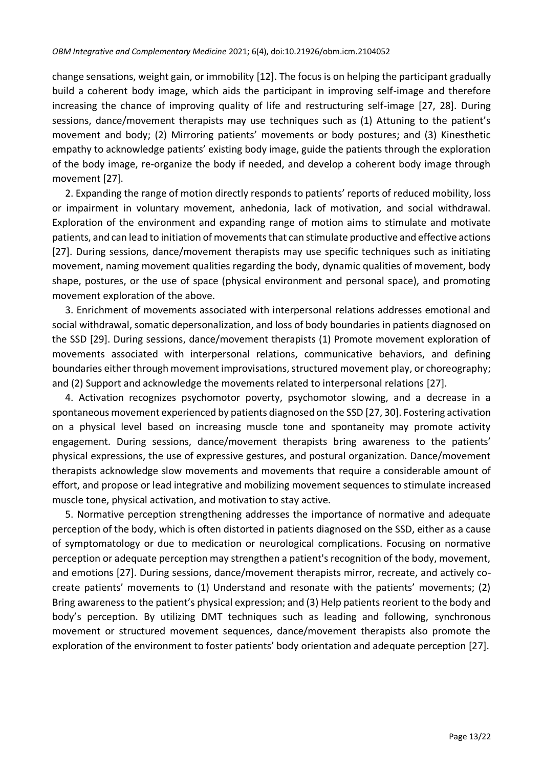change sensations, weight gain, or immobility [12]. The focus is on helping the participant gradually build a coherent body image, which aids the participant in improving self-image and therefore increasing the chance of improving quality of life and restructuring self-image [27, 28]. During sessions, dance/movement therapists may use techniques such as (1) Attuning to the patient's movement and body; (2) Mirroring patients' movements or body postures; and (3) Kinesthetic empathy to acknowledge patients' existing body image, guide the patients through the exploration of the body image, re-organize the body if needed, and develop a coherent body image through movement [27].

2. Expanding the range of motion directly responds to patients' reports of reduced mobility, loss or impairment in voluntary movement, anhedonia, lack of motivation, and social withdrawal. Exploration of the environment and expanding range of motion aims to stimulate and motivate patients, and can lead to initiation of movements that can stimulate productive and effective actions [27]. During sessions, dance/movement therapists may use specific techniques such as initiating movement, naming movement qualities regarding the body, dynamic qualities of movement, body shape, postures, or the use of space (physical environment and personal space), and promoting movement exploration of the above.

3. Enrichment of movements associated with interpersonal relations addresses emotional and social withdrawal, somatic depersonalization, and loss of body boundaries in patients diagnosed on the SSD [29]. During sessions, dance/movement therapists (1) Promote movement exploration of movements associated with interpersonal relations, communicative behaviors, and defining boundaries either through movement improvisations, structured movement play, or choreography; and (2) Support and acknowledge the movements related to interpersonal relations [27].

4. Activation recognizes psychomotor poverty, psychomotor slowing, and a decrease in a spontaneous movement experienced by patients diagnosed on the SSD [27, 30]. Fostering activation on a physical level based on increasing muscle tone and spontaneity may promote activity engagement. During sessions, dance/movement therapists bring awareness to the patients' physical expressions, the use of expressive gestures, and postural organization. Dance/movement therapists acknowledge slow movements and movements that require a considerable amount of effort, and propose or lead integrative and mobilizing movement sequences to stimulate increased muscle tone, physical activation, and motivation to stay active.

5. Normative perception strengthening addresses the importance of normative and adequate perception of the body, which is often distorted in patients diagnosed on the SSD, either as a cause of symptomatology or due to medication or neurological complications. Focusing on normative perception or adequate perception may strengthen a patient's recognition of the body, movement, and emotions [27]. During sessions, dance/movement therapists mirror, recreate, and actively cocreate patients' movements to (1) Understand and resonate with the patients' movements; (2) Bring awareness to the patient's physical expression; and (3) Help patients reorient to the body and body's perception. By utilizing DMT techniques such as leading and following, synchronous movement or structured movement sequences, dance/movement therapists also promote the exploration of the environment to foster patients' body orientation and adequate perception [27].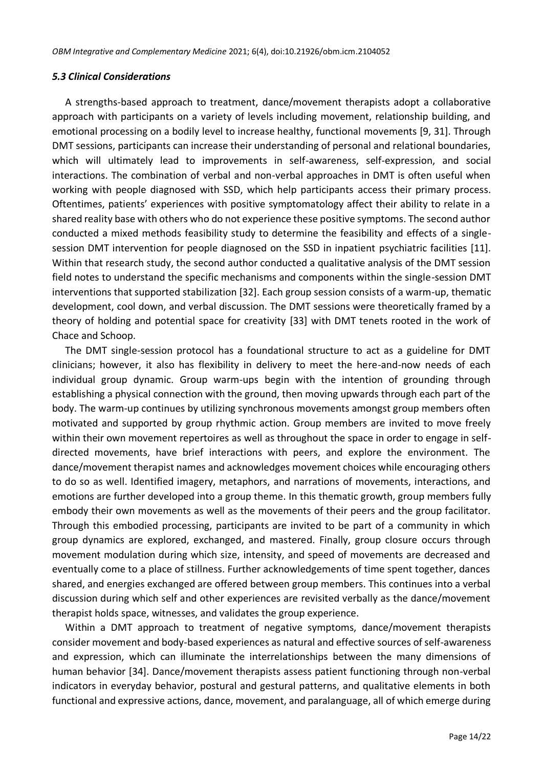#### *5.3 Clinical Considerations*

A strengths-based approach to treatment, dance/movement therapists adopt a collaborative approach with participants on a variety of levels including movement, relationship building, and emotional processing on a bodily level to increase healthy, functional movements [9, 31]. Through DMT sessions, participants can increase their understanding of personal and relational boundaries, which will ultimately lead to improvements in self-awareness, self-expression, and social interactions. The combination of verbal and non-verbal approaches in DMT is often useful when working with people diagnosed with SSD, which help participants access their primary process. Oftentimes, patients' experiences with positive symptomatology affect their ability to relate in a shared reality base with others who do not experience these positive symptoms. The second author conducted a mixed methods feasibility study to determine the feasibility and effects of a singlesession DMT intervention for people diagnosed on the SSD in inpatient psychiatric facilities [11]. Within that research study, the second author conducted a qualitative analysis of the DMT session field notes to understand the specific mechanisms and components within the single-session DMT interventions that supported stabilization [32]. Each group session consists of a warm-up, thematic development, cool down, and verbal discussion. The DMT sessions were theoretically framed by a theory of holding and potential space for creativity [33] with DMT tenets rooted in the work of Chace and Schoop.

The DMT single-session protocol has a foundational structure to act as a guideline for DMT clinicians; however, it also has flexibility in delivery to meet the here-and-now needs of each individual group dynamic. Group warm-ups begin with the intention of grounding through establishing a physical connection with the ground, then moving upwards through each part of the body. The warm-up continues by utilizing synchronous movements amongst group members often motivated and supported by group rhythmic action. Group members are invited to move freely within their own movement repertoires as well as throughout the space in order to engage in selfdirected movements, have brief interactions with peers, and explore the environment. The dance/movement therapist names and acknowledges movement choices while encouraging others to do so as well. Identified imagery, metaphors, and narrations of movements, interactions, and emotions are further developed into a group theme. In this thematic growth, group members fully embody their own movements as well as the movements of their peers and the group facilitator. Through this embodied processing, participants are invited to be part of a community in which group dynamics are explored, exchanged, and mastered. Finally, group closure occurs through movement modulation during which size, intensity, and speed of movements are decreased and eventually come to a place of stillness. Further acknowledgements of time spent together, dances shared, and energies exchanged are offered between group members. This continues into a verbal discussion during which self and other experiences are revisited verbally as the dance/movement therapist holds space, witnesses, and validates the group experience.

Within a DMT approach to treatment of negative symptoms, dance/movement therapists consider movement and body-based experiences as natural and effective sources of self-awareness and expression, which can illuminate the interrelationships between the many dimensions of human behavior [34]. Dance/movement therapists assess patient functioning through non-verbal indicators in everyday behavior, postural and gestural patterns, and qualitative elements in both functional and expressive actions, dance, movement, and paralanguage, all of which emerge during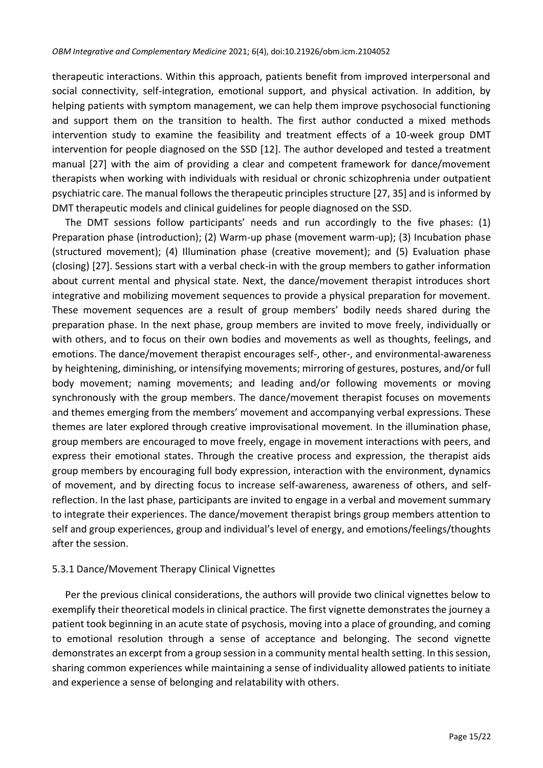therapeutic interactions. Within this approach, patients benefit from improved interpersonal and social connectivity, self-integration, emotional support, and physical activation. In addition, by helping patients with symptom management, we can help them improve psychosocial functioning and support them on the transition to health. The first author conducted a mixed methods intervention study to examine the feasibility and treatment effects of a 10-week group DMT intervention for people diagnosed on the SSD [12]. The author developed and tested a treatment manual [27] with the aim of providing a clear and competent framework for dance/movement therapists when working with individuals with residual or chronic schizophrenia under outpatient psychiatric care. The manual follows the therapeutic principles structure [27, 35] and is informed by DMT therapeutic models and clinical guidelines for people diagnosed on the SSD.

The DMT sessions follow participants' needs and run accordingly to the five phases: (1) Preparation phase (introduction); (2) Warm-up phase (movement warm-up); (3) Incubation phase (structured movement); (4) Illumination phase (creative movement); and (5) Evaluation phase (closing) [27]. Sessions start with a verbal check-in with the group members to gather information about current mental and physical state. Next, the dance/movement therapist introduces short integrative and mobilizing movement sequences to provide a physical preparation for movement. These movement sequences are a result of group members' bodily needs shared during the preparation phase. In the next phase, group members are invited to move freely, individually or with others, and to focus on their own bodies and movements as well as thoughts, feelings, and emotions. The dance/movement therapist encourages self-, other-, and environmental-awareness by heightening, diminishing, or intensifying movements; mirroring of gestures, postures, and/or full body movement; naming movements; and leading and/or following movements or moving synchronously with the group members. The dance/movement therapist focuses on movements and themes emerging from the members' movement and accompanying verbal expressions. These themes are later explored through creative improvisational movement. In the illumination phase, group members are encouraged to move freely, engage in movement interactions with peers, and express their emotional states. Through the creative process and expression, the therapist aids group members by encouraging full body expression, interaction with the environment, dynamics of movement, and by directing focus to increase self-awareness, awareness of others, and selfreflection. In the last phase, participants are invited to engage in a verbal and movement summary to integrate their experiences. The dance/movement therapist brings group members attention to self and group experiences, group and individual's level of energy, and emotions/feelings/thoughts after the session.

## 5.3.1 Dance/Movement Therapy Clinical Vignettes

Per the previous clinical considerations, the authors will provide two clinical vignettes below to exemplify their theoretical models in clinical practice. The first vignette demonstrates the journey a patient took beginning in an acute state of psychosis, moving into a place of grounding, and coming to emotional resolution through a sense of acceptance and belonging. The second vignette demonstrates an excerpt from a group session in a community mental health setting. In this session, sharing common experiences while maintaining a sense of individuality allowed patients to initiate and experience a sense of belonging and relatability with others.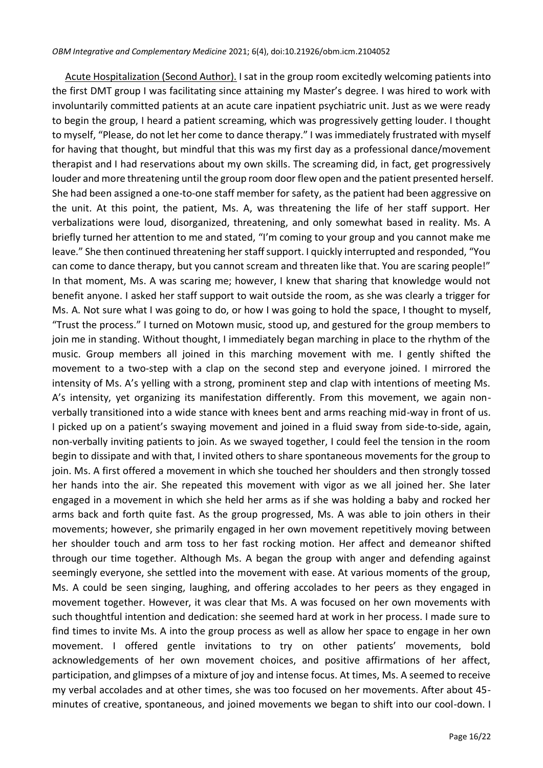Acute Hospitalization (Second Author). I sat in the group room excitedly welcoming patients into the first DMT group I was facilitating since attaining my Master's degree. I was hired to work with involuntarily committed patients at an acute care inpatient psychiatric unit. Just as we were ready to begin the group, I heard a patient screaming, which was progressively getting louder. I thought to myself, "Please, do not let her come to dance therapy." I was immediately frustrated with myself for having that thought, but mindful that this was my first day as a professional dance/movement therapist and I had reservations about my own skills. The screaming did, in fact, get progressively louder and more threatening until the group room door flew open and the patient presented herself. She had been assigned a one-to-one staff member for safety, as the patient had been aggressive on the unit. At this point, the patient, Ms. A, was threatening the life of her staff support. Her verbalizations were loud, disorganized, threatening, and only somewhat based in reality. Ms. A briefly turned her attention to me and stated, "I'm coming to your group and you cannot make me leave." She then continued threatening her staff support. I quickly interrupted and responded, "You can come to dance therapy, but you cannot scream and threaten like that. You are scaring people!" In that moment, Ms. A was scaring me; however, I knew that sharing that knowledge would not benefit anyone. I asked her staff support to wait outside the room, as she was clearly a trigger for Ms. A. Not sure what I was going to do, or how I was going to hold the space, I thought to myself, "Trust the process." I turned on Motown music, stood up, and gestured for the group members to join me in standing. Without thought, I immediately began marching in place to the rhythm of the music. Group members all joined in this marching movement with me. I gently shifted the movement to a two-step with a clap on the second step and everyone joined. I mirrored the intensity of Ms. A's yelling with a strong, prominent step and clap with intentions of meeting Ms. A's intensity, yet organizing its manifestation differently. From this movement, we again nonverbally transitioned into a wide stance with knees bent and arms reaching mid-way in front of us. I picked up on a patient's swaying movement and joined in a fluid sway from side-to-side, again, non-verbally inviting patients to join. As we swayed together, I could feel the tension in the room begin to dissipate and with that, I invited others to share spontaneous movements for the group to join. Ms. A first offered a movement in which she touched her shoulders and then strongly tossed her hands into the air. She repeated this movement with vigor as we all joined her. She later engaged in a movement in which she held her arms as if she was holding a baby and rocked her arms back and forth quite fast. As the group progressed, Ms. A was able to join others in their movements; however, she primarily engaged in her own movement repetitively moving between her shoulder touch and arm toss to her fast rocking motion. Her affect and demeanor shifted through our time together. Although Ms. A began the group with anger and defending against seemingly everyone, she settled into the movement with ease. At various moments of the group, Ms. A could be seen singing, laughing, and offering accolades to her peers as they engaged in movement together. However, it was clear that Ms. A was focused on her own movements with such thoughtful intention and dedication: she seemed hard at work in her process. I made sure to find times to invite Ms. A into the group process as well as allow her space to engage in her own movement. I offered gentle invitations to try on other patients' movements, bold acknowledgements of her own movement choices, and positive affirmations of her affect, participation, and glimpses of a mixture of joy and intense focus. At times, Ms. A seemed to receive my verbal accolades and at other times, she was too focused on her movements. After about 45 minutes of creative, spontaneous, and joined movements we began to shift into our cool-down. I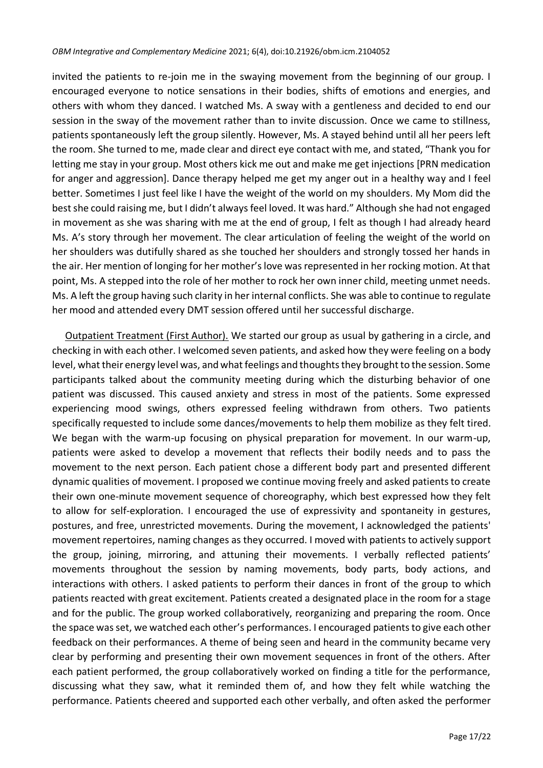invited the patients to re-join me in the swaying movement from the beginning of our group. I encouraged everyone to notice sensations in their bodies, shifts of emotions and energies, and others with whom they danced. I watched Ms. A sway with a gentleness and decided to end our session in the sway of the movement rather than to invite discussion. Once we came to stillness, patients spontaneously left the group silently. However, Ms. A stayed behind until all her peers left the room. She turned to me, made clear and direct eye contact with me, and stated, "Thank you for letting me stay in your group. Most others kick me out and make me get injections [PRN medication for anger and aggression]. Dance therapy helped me get my anger out in a healthy way and I feel better. Sometimes I just feel like I have the weight of the world on my shoulders. My Mom did the best she could raising me, but I didn't always feel loved. It was hard." Although she had not engaged in movement as she was sharing with me at the end of group, I felt as though I had already heard Ms. A's story through her movement. The clear articulation of feeling the weight of the world on her shoulders was dutifully shared as she touched her shoulders and strongly tossed her hands in the air. Her mention of longing for her mother's love was represented in her rocking motion. At that point, Ms. A stepped into the role of her mother to rock her own inner child, meeting unmet needs. Ms. A left the group having such clarity in her internal conflicts. She was able to continue to regulate her mood and attended every DMT session offered until her successful discharge.

Outpatient Treatment (First Author). We started our group as usual by gathering in a circle, and checking in with each other. I welcomed seven patients, and asked how they were feeling on a body level, what their energy level was, and what feelings and thoughts they brought to the session. Some participants talked about the community meeting during which the disturbing behavior of one patient was discussed. This caused anxiety and stress in most of the patients. Some expressed experiencing mood swings, others expressed feeling withdrawn from others. Two patients specifically requested to include some dances/movements to help them mobilize as they felt tired. We began with the warm-up focusing on physical preparation for movement. In our warm-up, patients were asked to develop a movement that reflects their bodily needs and to pass the movement to the next person. Each patient chose a different body part and presented different dynamic qualities of movement. I proposed we continue moving freely and asked patients to create their own one-minute movement sequence of choreography, which best expressed how they felt to allow for self-exploration. I encouraged the use of expressivity and spontaneity in gestures, postures, and free, unrestricted movements. During the movement, I acknowledged the patients' movement repertoires, naming changes as they occurred. I moved with patients to actively support the group, joining, mirroring, and attuning their movements. I verbally reflected patients' movements throughout the session by naming movements, body parts, body actions, and interactions with others. I asked patients to perform their dances in front of the group to which patients reacted with great excitement. Patients created a designated place in the room for a stage and for the public. The group worked collaboratively, reorganizing and preparing the room. Once the space was set, we watched each other's performances. I encouraged patients to give each other feedback on their performances. A theme of being seen and heard in the community became very clear by performing and presenting their own movement sequences in front of the others. After each patient performed, the group collaboratively worked on finding a title for the performance, discussing what they saw, what it reminded them of, and how they felt while watching the performance. Patients cheered and supported each other verbally, and often asked the performer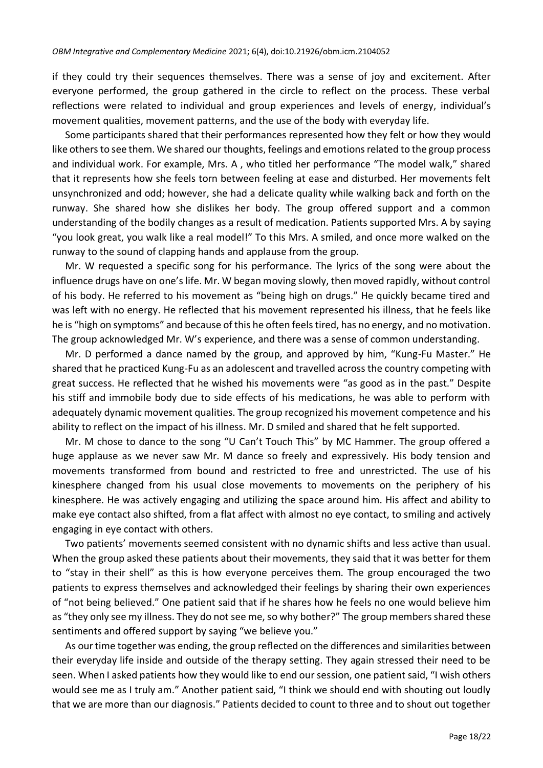if they could try their sequences themselves. There was a sense of joy and excitement. After everyone performed, the group gathered in the circle to reflect on the process. These verbal reflections were related to individual and group experiences and levels of energy, individual's movement qualities, movement patterns, and the use of the body with everyday life.

Some participants shared that their performances represented how they felt or how they would like others to see them. We shared our thoughts, feelings and emotions related to the group process and individual work. For example, Mrs. A , who titled her performance "The model walk," shared that it represents how she feels torn between feeling at ease and disturbed. Her movements felt unsynchronized and odd; however, she had a delicate quality while walking back and forth on the runway. She shared how she dislikes her body. The group offered support and a common understanding of the bodily changes as a result of medication. Patients supported Mrs. A by saying "you look great, you walk like a real model!" To this Mrs. A smiled, and once more walked on the runway to the sound of clapping hands and applause from the group.

Mr. W requested a specific song for his performance. The lyrics of the song were about the influence drugs have on one's life. Mr. W began moving slowly, then moved rapidly, without control of his body. He referred to his movement as "being high on drugs." He quickly became tired and was left with no energy. He reflected that his movement represented his illness, that he feels like he is "high on symptoms" and because of this he often feels tired, has no energy, and no motivation. The group acknowledged Mr. W's experience, and there was a sense of common understanding.

Mr. D performed a dance named by the group, and approved by him, "Kung-Fu Master." He shared that he practiced Kung-Fu as an adolescent and travelled across the country competing with great success. He reflected that he wished his movements were "as good as in the past." Despite his stiff and immobile body due to side effects of his medications, he was able to perform with adequately dynamic movement qualities. The group recognized his movement competence and his ability to reflect on the impact of his illness. Mr. D smiled and shared that he felt supported.

Mr. M chose to dance to the song "U Can't Touch This" by MC Hammer. The group offered a huge applause as we never saw Mr. M dance so freely and expressively. His body tension and movements transformed from bound and restricted to free and unrestricted. The use of his kinesphere changed from his usual close movements to movements on the periphery of his kinesphere. He was actively engaging and utilizing the space around him. His affect and ability to make eye contact also shifted, from a flat affect with almost no eye contact, to smiling and actively engaging in eye contact with others.

Two patients' movements seemed consistent with no dynamic shifts and less active than usual. When the group asked these patients about their movements, they said that it was better for them to "stay in their shell" as this is how everyone perceives them. The group encouraged the two patients to express themselves and acknowledged their feelings by sharing their own experiences of "not being believed." One patient said that if he shares how he feels no one would believe him as "they only see my illness. They do not see me, so why bother?" The group members shared these sentiments and offered support by saying "we believe you."

As our time together was ending, the group reflected on the differences and similarities between their everyday life inside and outside of the therapy setting. They again stressed their need to be seen. When I asked patients how they would like to end our session, one patient said, "I wish others would see me as I truly am." Another patient said, "I think we should end with shouting out loudly that we are more than our diagnosis." Patients decided to count to three and to shout out together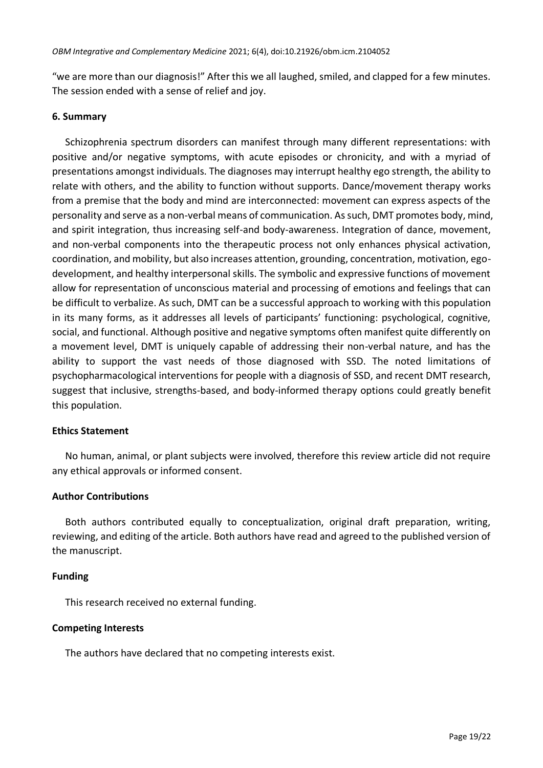"we are more than our diagnosis!" After this we all laughed, smiled, and clapped for a few minutes. The session ended with a sense of relief and joy.

#### **6. Summary**

Schizophrenia spectrum disorders can manifest through many different representations: with positive and/or negative symptoms, with acute episodes or chronicity, and with a myriad of presentations amongst individuals. The diagnoses may interrupt healthy ego strength, the ability to relate with others, and the ability to function without supports. Dance/movement therapy works from a premise that the body and mind are interconnected: movement can express aspects of the personality and serve as a non-verbal means of communication. As such, DMT promotes body, mind, and spirit integration, thus increasing self-and body-awareness. Integration of dance, movement, and non-verbal components into the therapeutic process not only enhances physical activation, coordination, and mobility, but also increases attention, grounding, concentration, motivation, egodevelopment, and healthy interpersonal skills. The symbolic and expressive functions of movement allow for representation of unconscious material and processing of emotions and feelings that can be difficult to verbalize. As such, DMT can be a successful approach to working with this population in its many forms, as it addresses all levels of participants' functioning: psychological, cognitive, social, and functional. Although positive and negative symptoms often manifest quite differently on a movement level, DMT is uniquely capable of addressing their non-verbal nature, and has the ability to support the vast needs of those diagnosed with SSD. The noted limitations of psychopharmacological interventions for people with a diagnosis of SSD, and recent DMT research, suggest that inclusive, strengths-based, and body-informed therapy options could greatly benefit this population.

## **Ethics Statement**

No human, animal, or plant subjects were involved, therefore this review article did not require any ethical approvals or informed consent.

## **Author Contributions**

Both authors contributed equally to conceptualization, original draft preparation, writing, reviewing, and editing of the article. Both authors have read and agreed to the published version of the manuscript.

## **Funding**

This research received no external funding.

#### **Competing Interests**

The authors have declared that no competing interests exist.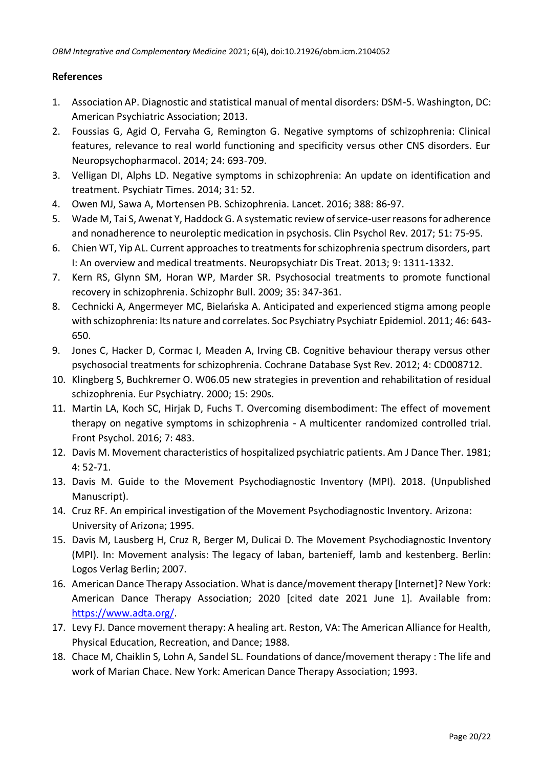## **References**

- 1. Association AP. Diagnostic and statistical manual of mental disorders: DSM-5. Washington, DC: American Psychiatric Association; 2013.
- 2. Foussias G, Agid O, Fervaha G, Remington G. Negative symptoms of schizophrenia: Clinical features, relevance to real world functioning and specificity versus other CNS disorders. Eur Neuropsychopharmacol. 2014; 24: 693-709.
- 3. Velligan DI, Alphs LD. Negative symptoms in schizophrenia: An update on identification and treatment. Psychiatr Times. 2014; 31: 52.
- 4. Owen MJ, Sawa A, Mortensen PB. Schizophrenia. Lancet. 2016; 388: 86-97.
- 5. Wade M, Tai S, Awenat Y, Haddock G. A systematic review of service-user reasons for adherence and nonadherence to neuroleptic medication in psychosis. Clin Psychol Rev. 2017; 51: 75-95.
- 6. Chien WT, Yip AL. Current approaches to treatments for schizophrenia spectrum disorders, part I: An overview and medical treatments. Neuropsychiatr Dis Treat. 2013; 9: 1311-1332.
- 7. Kern RS, Glynn SM, Horan WP, Marder SR. Psychosocial treatments to promote functional recovery in schizophrenia. Schizophr Bull. 2009; 35: 347-361.
- 8. Cechnicki A, Angermeyer MC, Bielańska A. Anticipated and experienced stigma among people with schizophrenia: Its nature and correlates. Soc Psychiatry Psychiatr Epidemiol. 2011; 46: 643- 650.
- 9. Jones C, Hacker D, Cormac I, Meaden A, Irving CB. Cognitive behaviour therapy versus other psychosocial treatments for schizophrenia. Cochrane Database Syst Rev. 2012; 4: CD008712.
- 10. Klingberg S, Buchkremer O. W06.05 new strategies in prevention and rehabilitation of residual schizophrenia. Eur Psychiatry. 2000; 15: 290s.
- 11. Martin LA, Koch SC, Hirjak D, Fuchs T. Overcoming disembodiment: The effect of movement therapy on negative symptoms in schizophrenia - A multicenter randomized controlled trial. Front Psychol. 2016; 7: 483.
- 12. Davis M. Movement characteristics of hospitalized psychiatric patients. Am J Dance Ther. 1981; 4: 52-71.
- 13. Davis M. Guide to the Movement Psychodiagnostic Inventory (MPI). 2018. (Unpublished Manuscript).
- 14. Cruz RF. An empirical investigation of the Movement Psychodiagnostic Inventory. Arizona: University of Arizona; 1995.
- 15. Davis M, Lausberg H, Cruz R, Berger M, Dulicai D. The Movement Psychodiagnostic Inventory (MPI). In: Movement analysis: The legacy of laban, bartenieff, lamb and kestenberg. Berlin: Logos Verlag Berlin; 2007.
- 16. American Dance Therapy Association. What is dance/movement therapy [Internet]? New York: American Dance Therapy Association; 2020 [cited date 2021 June 1]. Available from: [https://www.adta.org/.](https://www.adta.org/)
- 17. Levy FJ. Dance movement therapy: A healing art. Reston, VA: The American Alliance for Health, Physical Education, Recreation, and Dance; 1988.
- 18. Chace M, Chaiklin S, Lohn A, Sandel SL. Foundations of dance/movement therapy : The life and work of Marian Chace. New York: American Dance Therapy Association; 1993.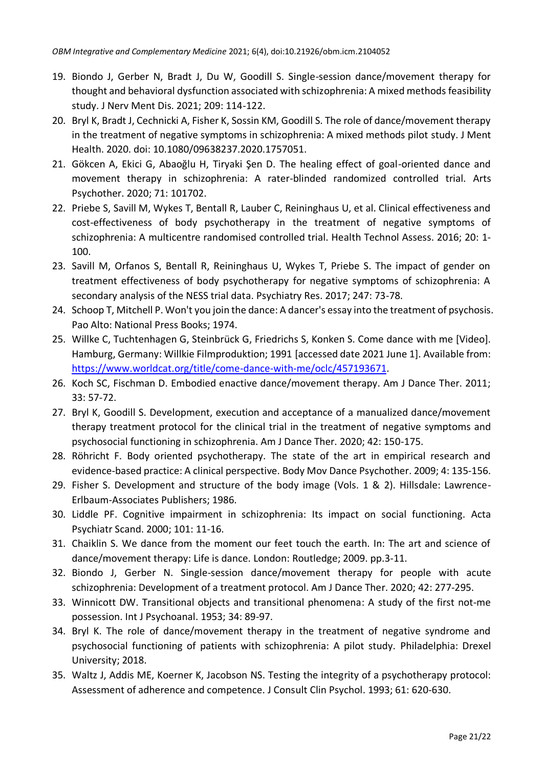- 19. Biondo J, Gerber N, Bradt J, Du W, Goodill S. Single-session dance/movement therapy for thought and behavioral dysfunction associated with schizophrenia: A mixed methods feasibility study. J Nerv Ment Dis. 2021; 209: 114-122.
- 20. Bryl K, Bradt J, Cechnicki A, Fisher K, Sossin KM, Goodill S. The role of dance/movement therapy in the treatment of negative symptoms in schizophrenia: A mixed methods pilot study. J Ment Health. 2020. doi: 10.1080/09638237.2020.1757051.
- 21. Gökcen A, Ekici G, Abaoğlu H, Tiryaki Şen D. The healing effect of goal-oriented dance and movement therapy in schizophrenia: A rater-blinded randomized controlled trial. Arts Psychother. 2020; 71: 101702.
- 22. Priebe S, Savill M, Wykes T, Bentall R, Lauber C, Reininghaus U, et al. Clinical effectiveness and cost-effectiveness of body psychotherapy in the treatment of negative symptoms of schizophrenia: A multicentre randomised controlled trial. Health Technol Assess. 2016; 20: 1- 100.
- 23. Savill M, Orfanos S, Bentall R, Reininghaus U, Wykes T, Priebe S. The impact of gender on treatment effectiveness of body psychotherapy for negative symptoms of schizophrenia: A secondary analysis of the NESS trial data. Psychiatry Res. 2017; 247: 73-78.
- 24. Schoop T, Mitchell P. Won't you join the dance: A dancer's essay into the treatment of psychosis. Pao Alto: National Press Books; 1974.
- 25. Willke C, Tuchtenhagen G, Steinbrück G, Friedrichs S, Konken S. Come dance with me [Video]. Hamburg, Germany: Willkie Filmproduktion; 1991 [accessed date 2021 June 1]. Available from: [https://www.worldcat.org/title/come-dance-with-me/oclc/457193671.](https://www.worldcat.org/title/come-dance-with-me/oclc/457193671)
- 26. Koch SC, Fischman D. Embodied enactive dance/movement therapy. Am J Dance Ther. 2011; 33: 57-72.
- 27. Bryl K, Goodill S. Development, execution and acceptance of a manualized dance/movement therapy treatment protocol for the clinical trial in the treatment of negative symptoms and psychosocial functioning in schizophrenia. Am J Dance Ther. 2020; 42: 150-175.
- 28. Röhricht F. Body oriented psychotherapy. The state of the art in empirical research and evidence-based practice: A clinical perspective. Body Mov Dance Psychother. 2009; 4: 135-156.
- 29. Fisher S. Development and structure of the body image (Vols. 1 & 2). Hillsdale: Lawrence-Erlbaum-Associates Publishers; 1986.
- 30. Liddle PF. Cognitive impairment in schizophrenia: Its impact on social functioning. Acta Psychiatr Scand. 2000; 101: 11-16.
- 31. Chaiklin S. We dance from the moment our feet touch the earth. In: The art and science of dance/movement therapy: Life is dance. London: Routledge; 2009. pp.3-11.
- 32. Biondo J, Gerber N. Single-session dance/movement therapy for people with acute schizophrenia: Development of a treatment protocol. Am J Dance Ther. 2020; 42: 277-295.
- 33. Winnicott DW. Transitional objects and transitional phenomena: A study of the first not-me possession. Int J Psychoanal. 1953; 34: 89-97.
- 34. Bryl K. The role of dance/movement therapy in the treatment of negative syndrome and psychosocial functioning of patients with schizophrenia: A pilot study. Philadelphia: Drexel University; 2018.
- 35. Waltz J, Addis ME, Koerner K, Jacobson NS. Testing the integrity of a psychotherapy protocol: Assessment of adherence and competence. J Consult Clin Psychol. 1993; 61: 620-630.